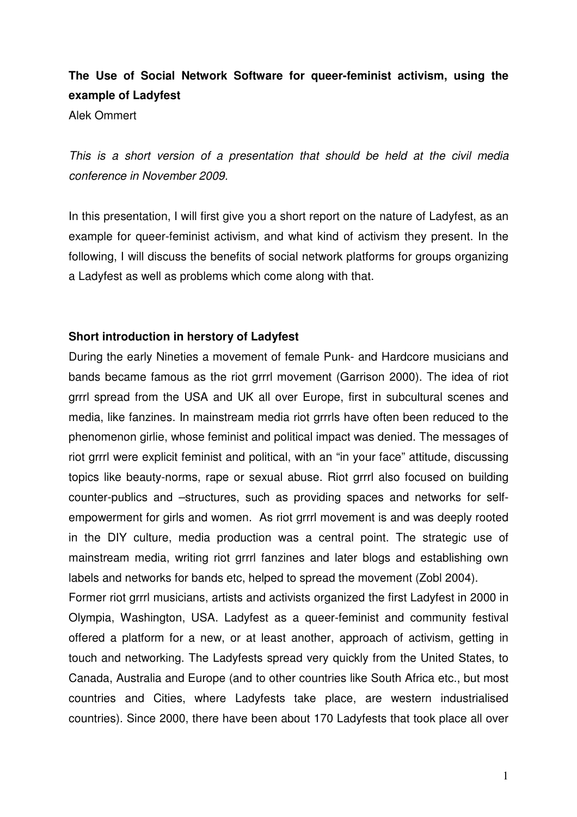# **The Use of Social Network Software for queer-feminist activism, using the example of Ladyfest**

Alek Ommert

This is a short version of a presentation that should be held at the civil media conference in November 2009.

In this presentation, I will first give you a short report on the nature of Ladyfest, as an example for queer-feminist activism, and what kind of activism they present. In the following, I will discuss the benefits of social network platforms for groups organizing a Ladyfest as well as problems which come along with that.

## **Short introduction in herstory of Ladyfest**

During the early Nineties a movement of female Punk- and Hardcore musicians and bands became famous as the riot grrrl movement (Garrison 2000). The idea of riot grrrl spread from the USA and UK all over Europe, first in subcultural scenes and media, like fanzines. In mainstream media riot grrrls have often been reduced to the phenomenon girlie, whose feminist and political impact was denied. The messages of riot grrrl were explicit feminist and political, with an "in your face" attitude, discussing topics like beauty-norms, rape or sexual abuse. Riot grrrl also focused on building counter-publics and –structures, such as providing spaces and networks for selfempowerment for girls and women. As riot grrrl movement is and was deeply rooted in the DIY culture, media production was a central point. The strategic use of mainstream media, writing riot grrrl fanzines and later blogs and establishing own labels and networks for bands etc, helped to spread the movement (Zobl 2004).

Former riot grrrl musicians, artists and activists organized the first Ladyfest in 2000 in Olympia, Washington, USA. Ladyfest as a queer-feminist and community festival offered a platform for a new, or at least another, approach of activism, getting in touch and networking. The Ladyfests spread very quickly from the United States, to Canada, Australia and Europe (and to other countries like South Africa etc., but most countries and Cities, where Ladyfests take place, are western industrialised countries). Since 2000, there have been about 170 Ladyfests that took place all over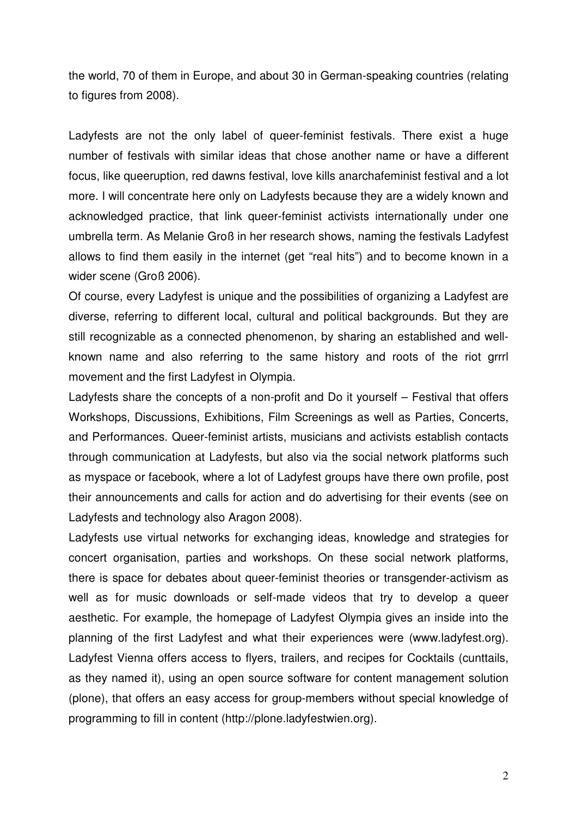the world, 70 of them in Europe, and about 30 in German-speaking countries (relating to figures from 2008).

Ladyfests are not the only label of queer-feminist festivals. There exist a huge number of festivals with similar ideas that chose another name or have a different focus, like queeruption, red dawns festival, love kills anarchafeminist festival and a lot more. I will concentrate here only on Ladyfests because they are a widely known and acknowledged practice, that link queer-feminist activists internationally under one umbrella term. As Melanie Groß in her research shows, naming the festivals Ladyfest allows to find them easily in the internet (get "real hits") and to become known in a wider scene (Groß 2006).

Of course, every Ladyfest is unique and the possibilities of organizing a Ladyfest are diverse, referring to different local, cultural and political backgrounds. But they are still recognizable as a connected phenomenon, by sharing an established and wellknown name and also referring to the same history and roots of the riot grrrl movement and the first Ladyfest in Olympia.

Ladyfests share the concepts of a non-profit and Do it yourself – Festival that offers Workshops, Discussions, Exhibitions, Film Screenings as well as Parties, Concerts, and Performances. Queer-feminist artists, musicians and activists establish contacts through communication at Ladyfests, but also via the social network platforms such as myspace or facebook, where a lot of Ladyfest groups have there own profile, post their announcements and calls for action and do advertising for their events (see on Ladyfests and technology also Aragon 2008).

Ladyfests use virtual networks for exchanging ideas, knowledge and strategies for concert organisation, parties and workshops. On these social network platforms, there is space for debates about queer-feminist theories or transgender-activism as well as for music downloads or self-made videos that try to develop a queer aesthetic. For example, the homepage of Ladyfest Olympia gives an inside into the planning of the first Ladyfest and what their experiences were (www.ladyfest.org). Ladyfest Vienna offers access to flyers, trailers, and recipes for Cocktails (cunttails, as they named it), using an open source software for content management solution (plone), that offers an easy access for group-members without special knowledge of programming to fill in content (http://plone.ladyfestwien.org).

2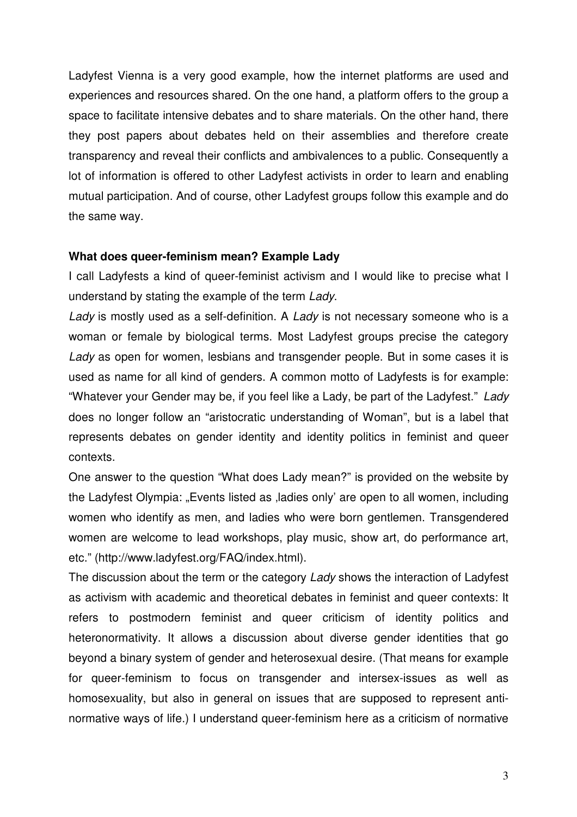Ladyfest Vienna is a very good example, how the internet platforms are used and experiences and resources shared. On the one hand, a platform offers to the group a space to facilitate intensive debates and to share materials. On the other hand, there they post papers about debates held on their assemblies and therefore create transparency and reveal their conflicts and ambivalences to a public. Consequently a lot of information is offered to other Ladyfest activists in order to learn and enabling mutual participation. And of course, other Ladyfest groups follow this example and do the same way.

#### **What does queer-feminism mean? Example Lady**

I call Ladyfests a kind of queer-feminist activism and I would like to precise what I understand by stating the example of the term Lady.

Lady is mostly used as a self-definition. A Lady is not necessary someone who is a woman or female by biological terms. Most Ladyfest groups precise the category Lady as open for women, lesbians and transgender people. But in some cases it is used as name for all kind of genders. A common motto of Ladyfests is for example: "Whatever your Gender may be, if you feel like a Lady, be part of the Ladyfest." Lady does no longer follow an "aristocratic understanding of Woman", but is a label that represents debates on gender identity and identity politics in feminist and queer contexts.

One answer to the question "What does Lady mean?" is provided on the website by the Ladyfest Olympia: "Events listed as ladies only' are open to all women, including women who identify as men, and ladies who were born gentlemen. Transgendered women are welcome to lead workshops, play music, show art, do performance art, etc." (http://www.ladyfest.org/FAQ/index.html).

The discussion about the term or the category Lady shows the interaction of Ladyfest as activism with academic and theoretical debates in feminist and queer contexts: It refers to postmodern feminist and queer criticism of identity politics and heteronormativity. It allows a discussion about diverse gender identities that go beyond a binary system of gender and heterosexual desire. (That means for example for queer-feminism to focus on transgender and intersex-issues as well as homosexuality, but also in general on issues that are supposed to represent antinormative ways of life.) I understand queer-feminism here as a criticism of normative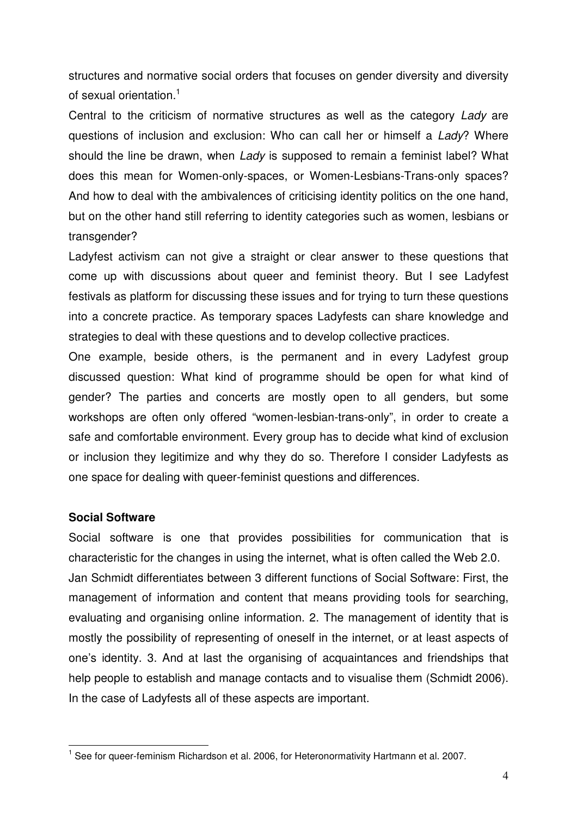structures and normative social orders that focuses on gender diversity and diversity of sexual orientation.<sup>1</sup>

Central to the criticism of normative structures as well as the category Lady are questions of inclusion and exclusion: Who can call her or himself a Lady? Where should the line be drawn, when Lady is supposed to remain a feminist label? What does this mean for Women-only-spaces, or Women-Lesbians-Trans-only spaces? And how to deal with the ambivalences of criticising identity politics on the one hand, but on the other hand still referring to identity categories such as women, lesbians or transgender?

Ladyfest activism can not give a straight or clear answer to these questions that come up with discussions about queer and feminist theory. But I see Ladyfest festivals as platform for discussing these issues and for trying to turn these questions into a concrete practice. As temporary spaces Ladyfests can share knowledge and strategies to deal with these questions and to develop collective practices.

One example, beside others, is the permanent and in every Ladyfest group discussed question: What kind of programme should be open for what kind of gender? The parties and concerts are mostly open to all genders, but some workshops are often only offered "women-lesbian-trans-only", in order to create a safe and comfortable environment. Every group has to decide what kind of exclusion or inclusion they legitimize and why they do so. Therefore I consider Ladyfests as one space for dealing with queer-feminist questions and differences.

## **Social Software**

l.

Social software is one that provides possibilities for communication that is characteristic for the changes in using the internet, what is often called the Web 2.0. Jan Schmidt differentiates between 3 different functions of Social Software: First, the management of information and content that means providing tools for searching, evaluating and organising online information. 2. The management of identity that is mostly the possibility of representing of oneself in the internet, or at least aspects of one's identity. 3. And at last the organising of acquaintances and friendships that help people to establish and manage contacts and to visualise them (Schmidt 2006). In the case of Ladyfests all of these aspects are important.

<sup>&</sup>lt;sup>1</sup> See for queer-feminism Richardson et al. 2006, for Heteronormativity Hartmann et al. 2007.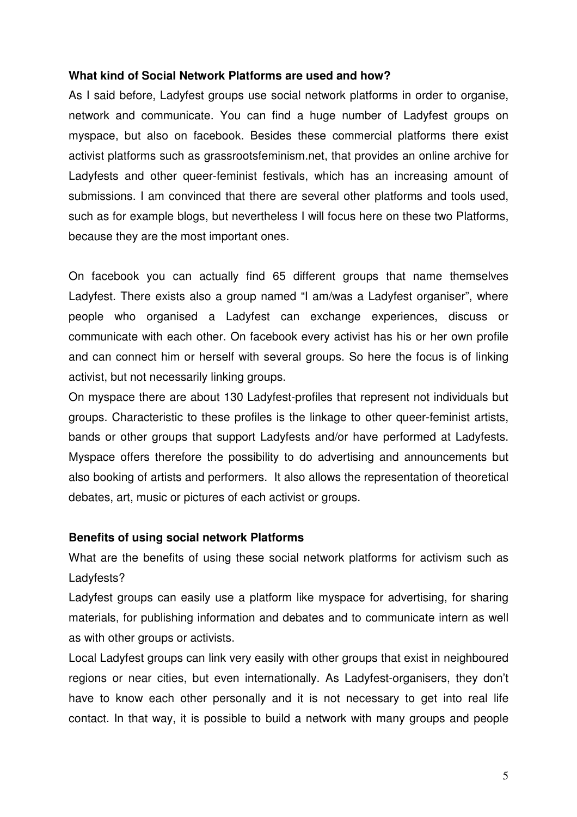## **What kind of Social Network Platforms are used and how?**

As I said before, Ladyfest groups use social network platforms in order to organise, network and communicate. You can find a huge number of Ladyfest groups on myspace, but also on facebook. Besides these commercial platforms there exist activist platforms such as grassrootsfeminism.net, that provides an online archive for Ladyfests and other queer-feminist festivals, which has an increasing amount of submissions. I am convinced that there are several other platforms and tools used, such as for example blogs, but nevertheless I will focus here on these two Platforms, because they are the most important ones.

On facebook you can actually find 65 different groups that name themselves Ladyfest. There exists also a group named "I am/was a Ladyfest organiser", where people who organised a Ladyfest can exchange experiences, discuss or communicate with each other. On facebook every activist has his or her own profile and can connect him or herself with several groups. So here the focus is of linking activist, but not necessarily linking groups.

On myspace there are about 130 Ladyfest-profiles that represent not individuals but groups. Characteristic to these profiles is the linkage to other queer-feminist artists, bands or other groups that support Ladyfests and/or have performed at Ladyfests. Myspace offers therefore the possibility to do advertising and announcements but also booking of artists and performers. It also allows the representation of theoretical debates, art, music or pictures of each activist or groups.

## **Benefits of using social network Platforms**

What are the benefits of using these social network platforms for activism such as Ladyfests?

Ladyfest groups can easily use a platform like myspace for advertising, for sharing materials, for publishing information and debates and to communicate intern as well as with other groups or activists.

Local Ladyfest groups can link very easily with other groups that exist in neighboured regions or near cities, but even internationally. As Ladyfest-organisers, they don't have to know each other personally and it is not necessary to get into real life contact. In that way, it is possible to build a network with many groups and people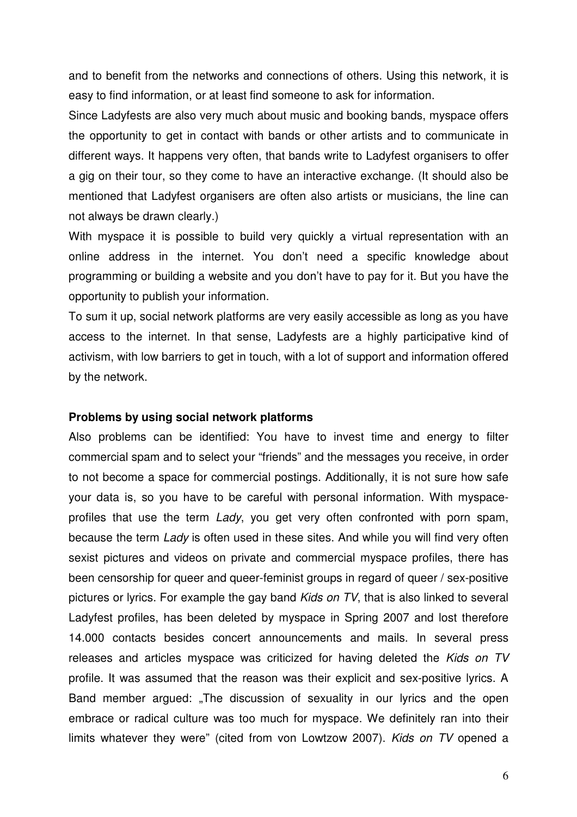and to benefit from the networks and connections of others. Using this network, it is easy to find information, or at least find someone to ask for information.

Since Ladyfests are also very much about music and booking bands, myspace offers the opportunity to get in contact with bands or other artists and to communicate in different ways. It happens very often, that bands write to Ladyfest organisers to offer a gig on their tour, so they come to have an interactive exchange. (It should also be mentioned that Ladyfest organisers are often also artists or musicians, the line can not always be drawn clearly.)

With myspace it is possible to build very quickly a virtual representation with an online address in the internet. You don't need a specific knowledge about programming or building a website and you don't have to pay for it. But you have the opportunity to publish your information.

To sum it up, social network platforms are very easily accessible as long as you have access to the internet. In that sense, Ladyfests are a highly participative kind of activism, with low barriers to get in touch, with a lot of support and information offered by the network.

#### **Problems by using social network platforms**

Also problems can be identified: You have to invest time and energy to filter commercial spam and to select your "friends" and the messages you receive, in order to not become a space for commercial postings. Additionally, it is not sure how safe your data is, so you have to be careful with personal information. With myspaceprofiles that use the term Lady, you get very often confronted with porn spam, because the term Lady is often used in these sites. And while you will find very often sexist pictures and videos on private and commercial myspace profiles, there has been censorship for queer and queer-feminist groups in regard of queer / sex-positive pictures or lyrics. For example the gay band Kids on TV, that is also linked to several Ladyfest profiles, has been deleted by myspace in Spring 2007 and lost therefore 14.000 contacts besides concert announcements and mails. In several press releases and articles myspace was criticized for having deleted the Kids on TV profile. It was assumed that the reason was their explicit and sex-positive lyrics. A Band member argued: "The discussion of sexuality in our lyrics and the open embrace or radical culture was too much for myspace. We definitely ran into their limits whatever they were" (cited from von Lowtzow 2007). Kids on TV opened a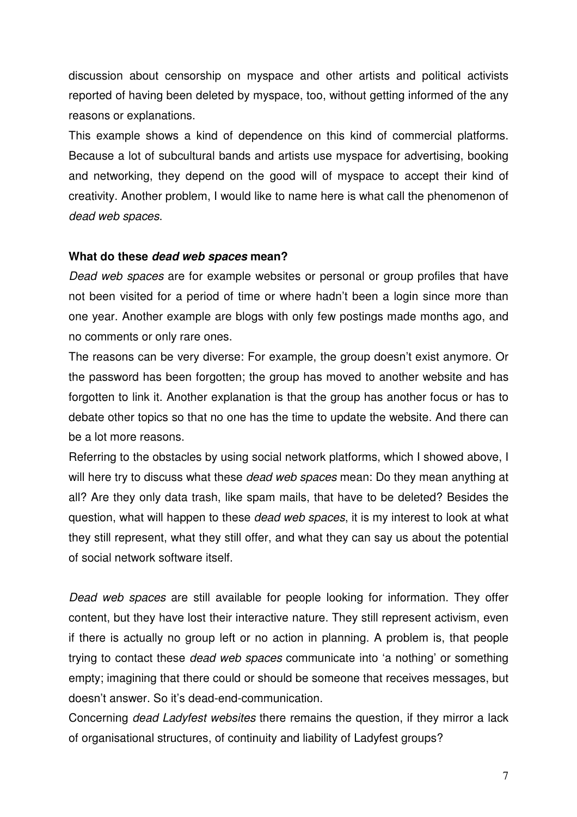discussion about censorship on myspace and other artists and political activists reported of having been deleted by myspace, too, without getting informed of the any reasons or explanations.

This example shows a kind of dependence on this kind of commercial platforms. Because a lot of subcultural bands and artists use myspace for advertising, booking and networking, they depend on the good will of myspace to accept their kind of creativity. Another problem, I would like to name here is what call the phenomenon of dead web spaces.

## **What do these dead web spaces mean?**

Dead web spaces are for example websites or personal or group profiles that have not been visited for a period of time or where hadn't been a login since more than one year. Another example are blogs with only few postings made months ago, and no comments or only rare ones.

The reasons can be very diverse: For example, the group doesn't exist anymore. Or the password has been forgotten; the group has moved to another website and has forgotten to link it. Another explanation is that the group has another focus or has to debate other topics so that no one has the time to update the website. And there can be a lot more reasons.

Referring to the obstacles by using social network platforms, which I showed above, I will here try to discuss what these *dead web spaces* mean: Do they mean anything at all? Are they only data trash, like spam mails, that have to be deleted? Besides the question, what will happen to these dead web spaces, it is my interest to look at what they still represent, what they still offer, and what they can say us about the potential of social network software itself.

Dead web spaces are still available for people looking for information. They offer content, but they have lost their interactive nature. They still represent activism, even if there is actually no group left or no action in planning. A problem is, that people trying to contact these dead web spaces communicate into 'a nothing' or something empty; imagining that there could or should be someone that receives messages, but doesn't answer. So it's dead-end-communication.

Concerning dead Ladyfest websites there remains the question, if they mirror a lack of organisational structures, of continuity and liability of Ladyfest groups?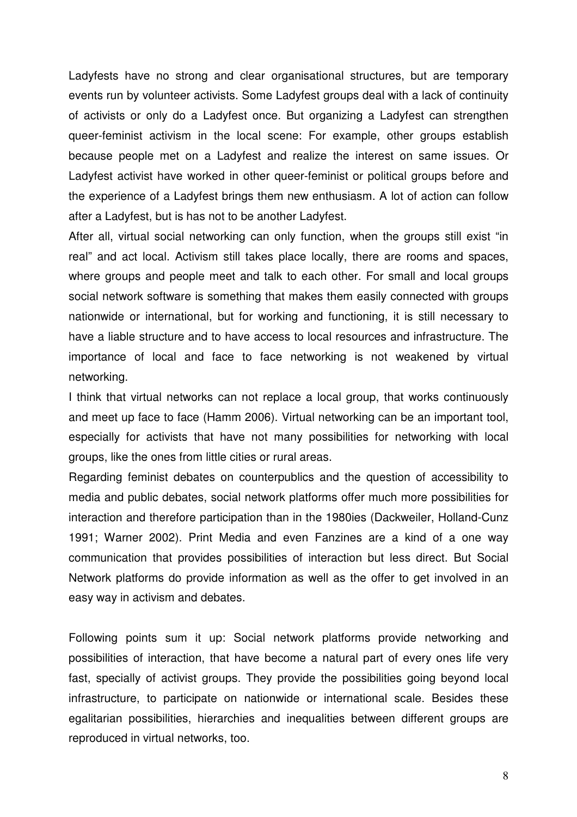Ladyfests have no strong and clear organisational structures, but are temporary events run by volunteer activists. Some Ladyfest groups deal with a lack of continuity of activists or only do a Ladyfest once. But organizing a Ladyfest can strengthen queer-feminist activism in the local scene: For example, other groups establish because people met on a Ladyfest and realize the interest on same issues. Or Ladyfest activist have worked in other queer-feminist or political groups before and the experience of a Ladyfest brings them new enthusiasm. A lot of action can follow after a Ladyfest, but is has not to be another Ladyfest.

After all, virtual social networking can only function, when the groups still exist "in real" and act local. Activism still takes place locally, there are rooms and spaces, where groups and people meet and talk to each other. For small and local groups social network software is something that makes them easily connected with groups nationwide or international, but for working and functioning, it is still necessary to have a liable structure and to have access to local resources and infrastructure. The importance of local and face to face networking is not weakened by virtual networking.

I think that virtual networks can not replace a local group, that works continuously and meet up face to face (Hamm 2006). Virtual networking can be an important tool, especially for activists that have not many possibilities for networking with local groups, like the ones from little cities or rural areas.

Regarding feminist debates on counterpublics and the question of accessibility to media and public debates, social network platforms offer much more possibilities for interaction and therefore participation than in the 1980ies (Dackweiler, Holland-Cunz 1991; Warner 2002). Print Media and even Fanzines are a kind of a one way communication that provides possibilities of interaction but less direct. But Social Network platforms do provide information as well as the offer to get involved in an easy way in activism and debates.

Following points sum it up: Social network platforms provide networking and possibilities of interaction, that have become a natural part of every ones life very fast, specially of activist groups. They provide the possibilities going beyond local infrastructure, to participate on nationwide or international scale. Besides these egalitarian possibilities, hierarchies and inequalities between different groups are reproduced in virtual networks, too.